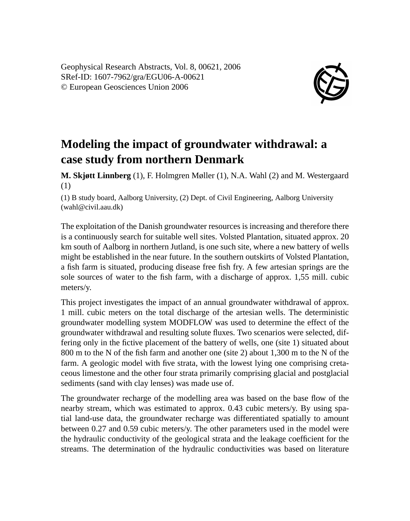Geophysical Research Abstracts, Vol. 8, 00621, 2006 SRef-ID: 1607-7962/gra/EGU06-A-00621 © European Geosciences Union 2006



## **Modeling the impact of groundwater withdrawal: a case study from northern Denmark**

**M. Skjøtt Linnberg** (1), F. Holmgren Møller (1), N.A. Wahl (2) and M. Westergaard (1)

(1) B study board, Aalborg University, (2) Dept. of Civil Engineering, Aalborg University (wahl@civil.aau.dk)

The exploitation of the Danish groundwater resources is increasing and therefore there is a continuously search for suitable well sites. Volsted Plantation, situated approx. 20 km south of Aalborg in northern Jutland, is one such site, where a new battery of wells might be established in the near future. In the southern outskirts of Volsted Plantation, a fish farm is situated, producing disease free fish fry. A few artesian springs are the sole sources of water to the fish farm, with a discharge of approx. 1,55 mill. cubic meters/y.

This project investigates the impact of an annual groundwater withdrawal of approx. 1 mill. cubic meters on the total discharge of the artesian wells. The deterministic groundwater modelling system MODFLOW was used to determine the effect of the groundwater withdrawal and resulting solute fluxes. Two scenarios were selected, differing only in the fictive placement of the battery of wells, one (site 1) situated about 800 m to the N of the fish farm and another one (site 2) about 1,300 m to the N of the farm. A geologic model with five strata, with the lowest lying one comprising cretaceous limestone and the other four strata primarily comprising glacial and postglacial sediments (sand with clay lenses) was made use of.

The groundwater recharge of the modelling area was based on the base flow of the nearby stream, which was estimated to approx. 0.43 cubic meters/y. By using spatial land-use data, the groundwater recharge was differentiated spatially to amount between 0.27 and 0.59 cubic meters/y. The other parameters used in the model were the hydraulic conductivity of the geological strata and the leakage coefficient for the streams. The determination of the hydraulic conductivities was based on literature